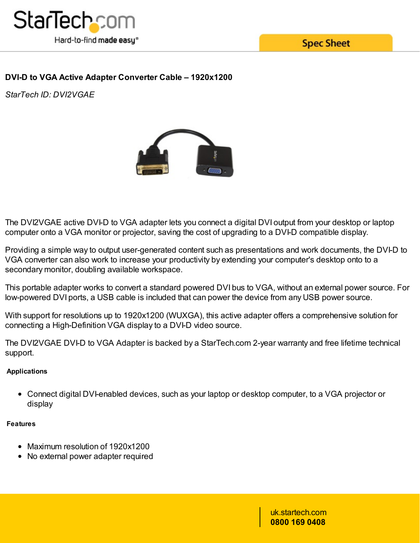

**Spec Sheet** 

# **DVI-D to VGA Active Adapter Converter Cable – 1920x1200**

*StarTech ID: DVI2VGAE*



The DVI2VGAE active DVI-D to VGA adapter lets you connect a digital DVI output from your desktop or laptop computer onto a VGA monitor or projector, saving the cost of upgrading to a DVI-D compatible display.

Providing a simple way to output user-generated content such as presentations and work documents, the DVI-D to VGA converter can also work to increase your productivity by extending your computer's desktop onto to a secondary monitor, doubling available workspace.

This portable adapter works to convert a standard powered DVI bus to VGA, without an external power source. For low-powered DVI ports, a USB cable is included that can power the device from any USB power source.

With support for resolutions up to 1920x1200 (WUXGA), this active adapter offers a comprehensive solution for connecting a High-Definition VGA display to a DVI-D video source.

The DVI2VGAE DVI-D to VGA Adapter is backed by a StarTech.com 2-year warranty and free lifetime technical support.

## **Applications**

Connect digital DVI-enabled devices, such as your laptop or desktop computer, to a VGA projector or display

#### **Features**

- Maximum resolution of 1920x1200
- No external power adapter required